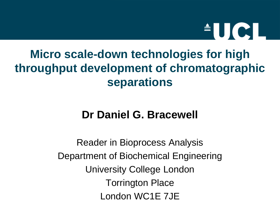

# **Micro scale-down technologies for high throughput development of chromatographic separations**

#### **Dr Daniel G. Bracewell**

Reader in Bioprocess Analysis Department of Biochemical Engineering University College London Torrington Place London WC1E 7JE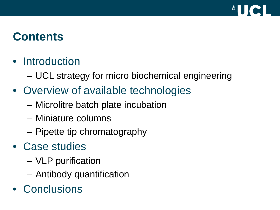

# **Contents**

#### • Introduction

- UCL strategy for micro biochemical engineering
- Overview of available technologies
	- Microlitre batch plate incubation
	- Miniature columns
	- Pipette tip chromatography
- Case studies
	- VLP purification
	- Antibody quantification
- Conclusions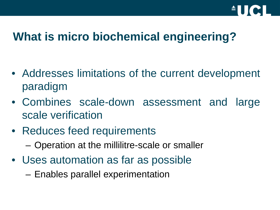

# **What is micro biochemical engineering?**

- Addresses limitations of the current development paradigm
- Combines scale-down assessment and large scale verification
- Reduces feed requirements – Operation at the millilitre-scale or smaller
- Uses automation as far as possible
	- Enables parallel experimentation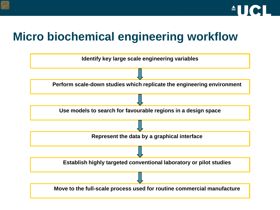

# **Micro biochemical engineering workflow**

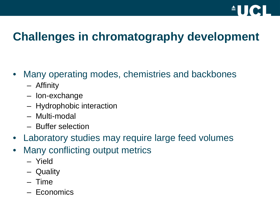

# **Challenges in chromatography development**

- Many operating modes, chemistries and backbones
	- Affinity
	- Ion-exchange
	- Hydrophobic interaction
	- Multi-modal
	- Buffer selection
- Laboratory studies may require large feed volumes
- Many conflicting output metrics
	- Yield
	- Quality
	- Time
	- Economics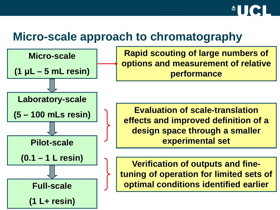

#### **Micro-scale approach to chromatography**



**Rapid scouting of large numbers of options and measurement of relative performance**

**Evaluation of scale-translation effects and improved definition of a design space through a smaller experimental set**

**Verification of outputs and finetuning of operation for limited sets of optimal conditions identified earlier**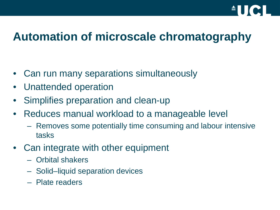

# **Automation of microscale chromatography**

- Can run many separations simultaneously
- Unattended operation
- Simplifies preparation and clean-up
- Reduces manual workload to a manageable level
	- Removes some potentially time consuming and labour intensive tasks
- Can integrate with other equipment
	- Orbital shakers
	- Solid–liquid separation devices
	- Plate readers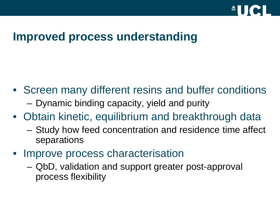

# **Improved process understanding**

- Screen many different resins and buffer conditions – Dynamic binding capacity, yield and purity
- Obtain kinetic, equilibrium and breakthrough data
	- Study how feed concentration and residence time affect separations
- Improve process characterisation
	- QbD, validation and support greater post-approval process flexibility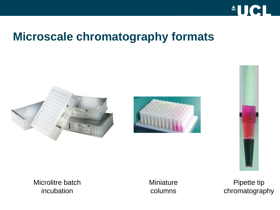

## **Microscale chromatography formats**







Microlitre batch incubation

**Miniature** columns

Pipette tip chromatography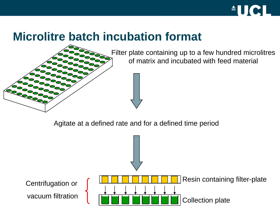

#### **Microlitre batch incubation format**



Filter plate containing up to a few hundred microlitres of matrix and incubated with feed material

Agitate at a defined rate and for a defined time period

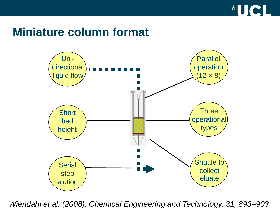

#### **Miniature column format**



*Wiendahl et al. (2008), Chemical Engineering and Technology, 31, 893–903*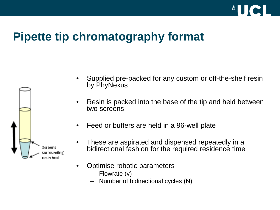

# **Pipette tip chromatography format**



- Supplied pre-packed for any custom or off-the-shelf resin by PhyNexus
- Resin is packed into the base of the tip and held between two screens
- Feed or buffers are held in a 96-well plate
- These are aspirated and dispensed repeatedly in a bidirectional fashion for the required residence time
- Optimise robotic parameters
	- Flowrate (v)
	- Number of bidirectional cycles (N)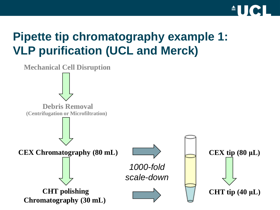

# **Pipette tip chromatography example 1: VLP purification (UCL and Merck)**

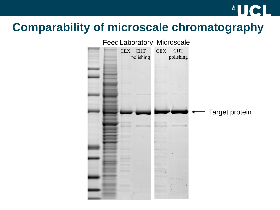## **Comparability of microscale chromatography**



**AUCL**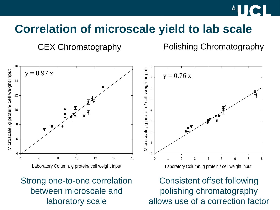

## **Correlation of microscale yield to lab scale**

CEX Chromatography Polishing Chromatography



#### Strong one-to-one correlation between microscale and laboratory scale

Consistent offset following polishing chromatography allows use of a correction factor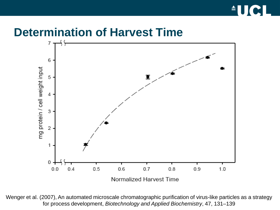

#### **Determination of Harvest Time**



Wenger et al. (2007), An automated microscale chromatographic purification of virus-like particles as a strategy for process development, *Biotechnology and Applied Biochemistry*, 47, 131–139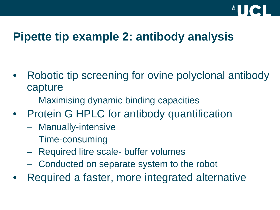

## **Pipette tip example 2: antibody analysis**

- Robotic tip screening for ovine polyclonal antibody capture
	- Maximising dynamic binding capacities
- Protein G HPLC for antibody quantification
	- Manually-intensive
	- Time-consuming
	- Required litre scale- buffer volumes
	- Conducted on separate system to the robot
- Required a faster, more integrated alternative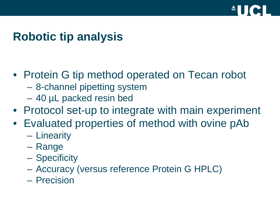

# **Robotic tip analysis**

- Protein G tip method operated on Tecan robot
	- 8-channel pipetting system
	- 40 µL packed resin bed
- Protocol set-up to integrate with main experiment
- Evaluated properties of method with ovine pAb
	- Linearity
	- Range
	- Specificity
	- Accuracy (versus reference Protein G HPLC)
	- Precision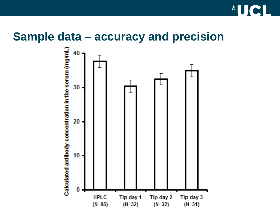

#### **Sample data – accuracy and precision**

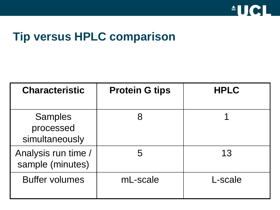

## **Tip versus HPLC comparison**

| <b>Characteristic</b>                         | <b>Protein G tips</b> | <b>HPLC</b> |
|-----------------------------------------------|-----------------------|-------------|
| <b>Samples</b><br>processed<br>simultaneously |                       |             |
| Analysis run time /<br>sample (minutes)       | 5                     | 13          |
| <b>Buffer volumes</b>                         | mL-scale              | L-scale     |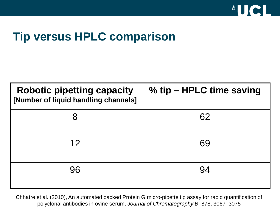

# **Tip versus HPLC comparison**

| <b>Robotic pipetting capacity</b><br>[Number of liquid handling channels] | % tip – HPLC time saving |
|---------------------------------------------------------------------------|--------------------------|
| 8                                                                         | 62                       |
| 12                                                                        | 69                       |
| 96                                                                        | 94                       |

Chhatre et al. (2010), An automated packed Protein G micro-pipette tip assay for rapid quantification of polyclonal antibodies in ovine serum, *Journal of Chromatography B*, 878, 3067–3075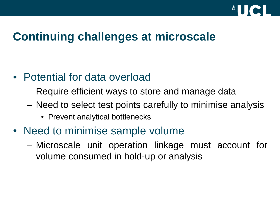

#### **Continuing challenges at microscale**

- Potential for data overload
	- Require efficient ways to store and manage data
	- Need to select test points carefully to minimise analysis
		- Prevent analytical bottlenecks
- Need to minimise sample volume
	- Microscale unit operation linkage must account for volume consumed in hold-up or analysis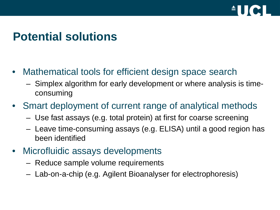

# **Potential solutions**

- Mathematical tools for efficient design space search
	- Simplex algorithm for early development or where analysis is timeconsuming
- Smart deployment of current range of analytical methods
	- Use fast assays (e.g. total protein) at first for coarse screening
	- Leave time-consuming assays (e.g. ELISA) until a good region has been identified
- Microfluidic assays developments
	- Reduce sample volume requirements
	- Lab-on-a-chip (e.g. Agilent Bioanalyser for electrophoresis)